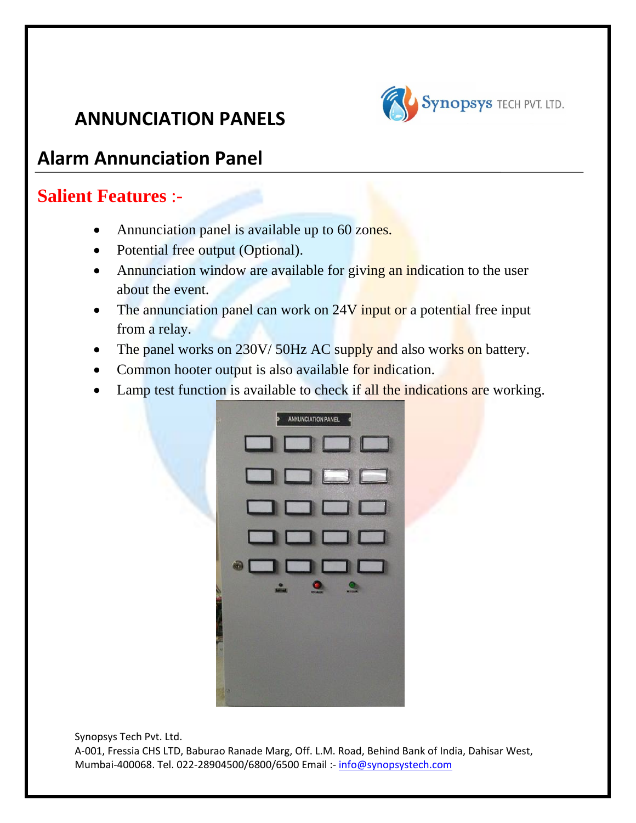

## **Alarm Annunciation Panel**

## **Salient Features** :-

- Annunciation panel is available up to 60 zones.
- Potential free output (Optional).
- Annunciation window are available for giving an indication to the user about the event.
- The annunciation panel can work on 24V input or a potential free input from a relay.
- The panel works on 230V/50Hz AC supply and also works on battery.
- Common hooter output is also available for indication.
- Lamp test function is available to check if all the indications are working.



Synopsys Tech Pvt. Ltd. A‐001, Fressia CHS LTD, Baburao Ranade Marg, Off. L.M. Road, Behind Bank of India, Dahisar West, Mumbai‐400068. Tel. 022‐28904500/6800/6500 Email :‐ info@synopsystech.com